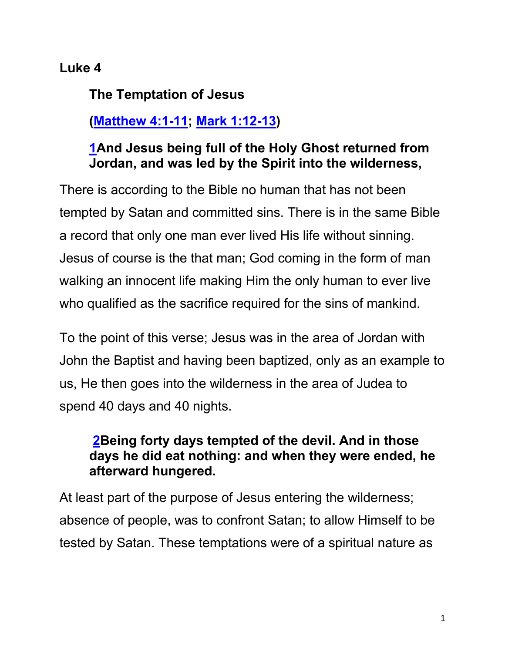## **Luke 4**

**The Temptation of Jesus**

# **(Matthew 4:1-11; Mark 1:12-13)**

#### **1And Jesus being full of the Holy Ghost returned from Jordan, and was led by the Spirit into the wilderness,**

There is according to the Bible no human that has not been tempted by Satan and committed sins. There is in the same Bible a record that only one man ever lived His life without sinning. Jesus of course is the that man; God coming in the form of man walking an innocent life making Him the only human to ever live who qualified as the sacrifice required for the sins of mankind.

To the point of this verse; Jesus was in the area of Jordan with John the Baptist and having been baptized, only as an example to us, He then goes into the wilderness in the area of Judea to spend 40 days and 40 nights.

### **2Being forty days tempted of the devil. And in those days he did eat nothing: and when they were ended, he afterward hungered.**

At least part of the purpose of Jesus entering the wilderness; absence of people, was to confront Satan; to allow Himself to be tested by Satan. These temptations were of a spiritual nature as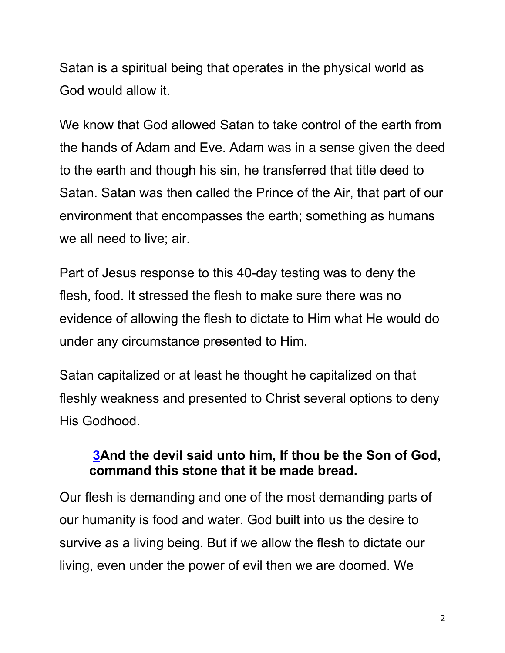Satan is a spiritual being that operates in the physical world as God would allow it.

We know that God allowed Satan to take control of the earth from the hands of Adam and Eve. Adam was in a sense given the deed to the earth and though his sin, he transferred that title deed to Satan. Satan was then called the Prince of the Air, that part of our environment that encompasses the earth; something as humans we all need to live; air.

Part of Jesus response to this 40-day testing was to deny the flesh, food. It stressed the flesh to make sure there was no evidence of allowing the flesh to dictate to Him what He would do under any circumstance presented to Him.

Satan capitalized or at least he thought he capitalized on that fleshly weakness and presented to Christ several options to deny His Godhood.

## **3And the devil said unto him, If thou be the Son of God, command this stone that it be made bread.**

Our flesh is demanding and one of the most demanding parts of our humanity is food and water. God built into us the desire to survive as a living being. But if we allow the flesh to dictate our living, even under the power of evil then we are doomed. We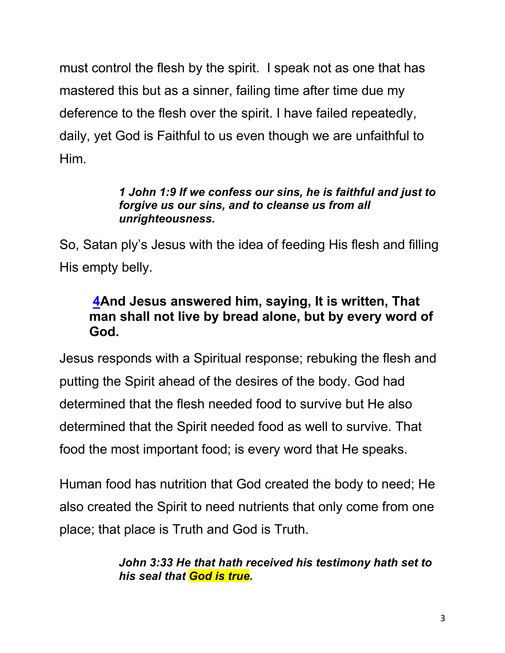must control the flesh by the spirit. I speak not as one that has mastered this but as a sinner, failing time after time due my deference to the flesh over the spirit. I have failed repeatedly, daily, yet God is Faithful to us even though we are unfaithful to Him.

#### *1 John 1:9 If we confess our sins, he is faithful and just to forgive us our sins, and to cleanse us from all unrighteousness.*

So, Satan ply's Jesus with the idea of feeding His flesh and filling His empty belly.

## **4And Jesus answered him, saying, It is written, That man shall not live by bread alone, but by every word of God.**

Jesus responds with a Spiritual response; rebuking the flesh and putting the Spirit ahead of the desires of the body. God had determined that the flesh needed food to survive but He also determined that the Spirit needed food as well to survive. That food the most important food; is every word that He speaks.

Human food has nutrition that God created the body to need; He also created the Spirit to need nutrients that only come from one place; that place is Truth and God is Truth.

> *John 3:33 He that hath received his testimony hath set to his seal that God is true.*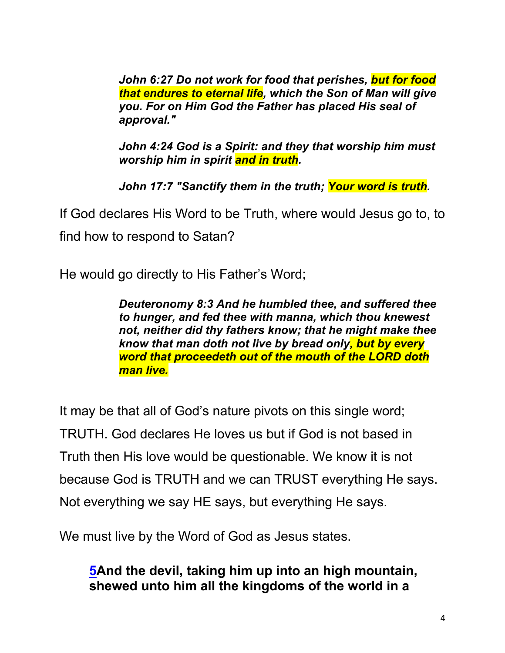*John 6:27 Do not work for food that perishes, but for food that endures to eternal life, which the Son of Man will give you. For on Him God the Father has placed His seal of approval."*

*John 4:24 God is a Spirit: and they that worship him must worship him in spirit and in truth.*

*John 17:7 "Sanctify them in the truth; Your word is truth.*

If God declares His Word to be Truth, where would Jesus go to, to find how to respond to Satan?

He would go directly to His Father's Word;

*Deuteronomy 8:3 And he humbled thee, and suffered thee to hunger, and fed thee with manna, which thou knewest not, neither did thy fathers know; that he might make thee know that man doth not live by bread only, but by every word that proceedeth out of the mouth of the LORD doth man live.*

It may be that all of God's nature pivots on this single word; TRUTH. God declares He loves us but if God is not based in Truth then His love would be questionable. We know it is not because God is TRUTH and we can TRUST everything He says. Not everything we say HE says, but everything He says.

We must live by the Word of God as Jesus states.

## **5And the devil, taking him up into an high mountain, shewed unto him all the kingdoms of the world in a**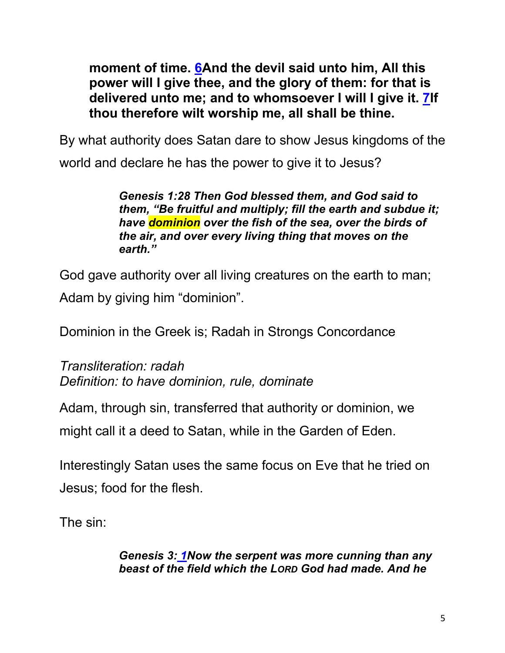**moment of time. 6And the devil said unto him, All this power will I give thee, and the glory of them: for that is delivered unto me; and to whomsoever I will I give it. 7If thou therefore wilt worship me, all shall be thine.**

By what authority does Satan dare to show Jesus kingdoms of the world and declare he has the power to give it to Jesus?

> *Genesis 1:28 Then God blessed them, and God said to them, "Be fruitful and multiply; fill the earth and subdue it; have dominion over the fish of the sea, over the birds of the air, and over every living thing that moves on the earth."*

God gave authority over all living creatures on the earth to man; Adam by giving him "dominion".

Dominion in the Greek is; Radah in Strongs Concordance

*Transliteration: radah Definition: to have dominion, rule, dominate*

Adam, through sin, transferred that authority or dominion, we

might call it a deed to Satan, while in the Garden of Eden.

Interestingly Satan uses the same focus on Eve that he tried on Jesus; food for the flesh.

The sin:

*Genesis 3: 1Now the serpent was more cunning than any beast of the field which the LORD God had made. And he*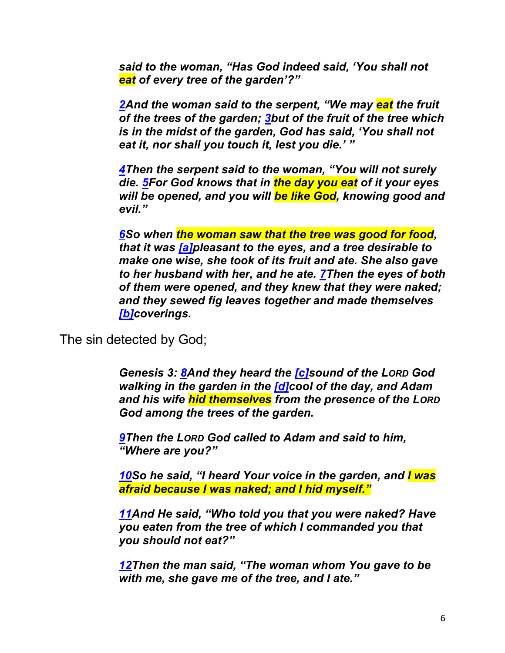*said to the woman, "Has God indeed said, 'You shall not eat of every tree of the garden'?"*

*2And the woman said to the serpent, "We may eat the fruit of the trees of the garden; 3but of the fruit of the tree which is in the midst of the garden, God has said, 'You shall not eat it, nor shall you touch it, lest you die.' "*

*4Then the serpent said to the woman, "You will not surely die. 5For God knows that in the day you eat of it your eyes will be opened, and you will be like God, knowing good and evil."*

*6So when the woman saw that the tree was good for food, that it was [a]pleasant to the eyes, and a tree desirable to make one wise, she took of its fruit and ate. She also gave to her husband with her, and he ate. 7Then the eyes of both of them were opened, and they knew that they were naked; and they sewed fig leaves together and made themselves [b]coverings.*

The sin detected by God;

*Genesis 3: 8And they heard the [c]sound of the LORD God walking in the garden in the [d]cool of the day, and Adam and his wife hid themselves from the presence of the LORD God among the trees of the garden.*

*9Then the LORD God called to Adam and said to him, "Where are you?"*

*10So he said, "I heard Your voice in the garden, and I was afraid because I was naked; and I hid myself."*

*11And He said, "Who told you that you were naked? Have you eaten from the tree of which I commanded you that you should not eat?"*

*12Then the man said, "The woman whom You gave to be with me, she gave me of the tree, and I ate."*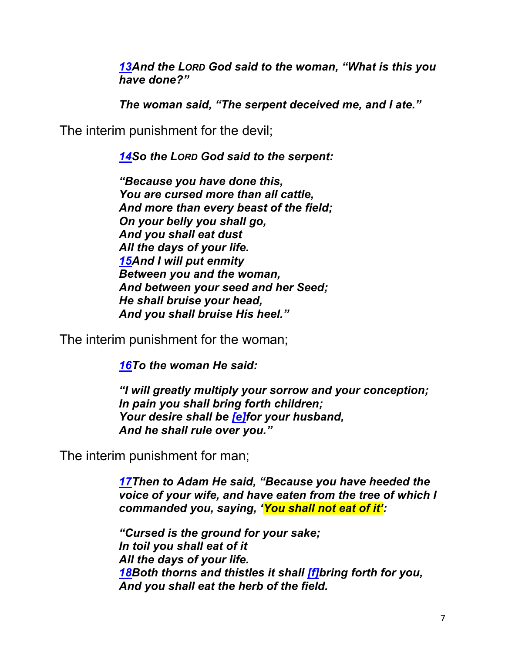*13And the LORD God said to the woman, "What is this you have done?"*

*The woman said, "The serpent deceived me, and I ate."*

The interim punishment for the devil;

*14So the LORD God said to the serpent:*

*"Because you have done this, You are cursed more than all cattle, And more than every beast of the field; On your belly you shall go, And you shall eat dust All the days of your life. 15And I will put enmity Between you and the woman, And between your seed and her Seed; He shall bruise your head, And you shall bruise His heel."*

The interim punishment for the woman;

*16To the woman He said:*

*"I will greatly multiply your sorrow and your conception; In pain you shall bring forth children; Your desire shall be [e]for your husband, And he shall rule over you."*

The interim punishment for man;

*17Then to Adam He said, "Because you have heeded the voice of your wife, and have eaten from the tree of which I commanded you, saying, 'You shall not eat of it':*

*"Cursed is the ground for your sake; In toil you shall eat of it All the days of your life. 18Both thorns and thistles it shall [f]bring forth for you, And you shall eat the herb of the field.*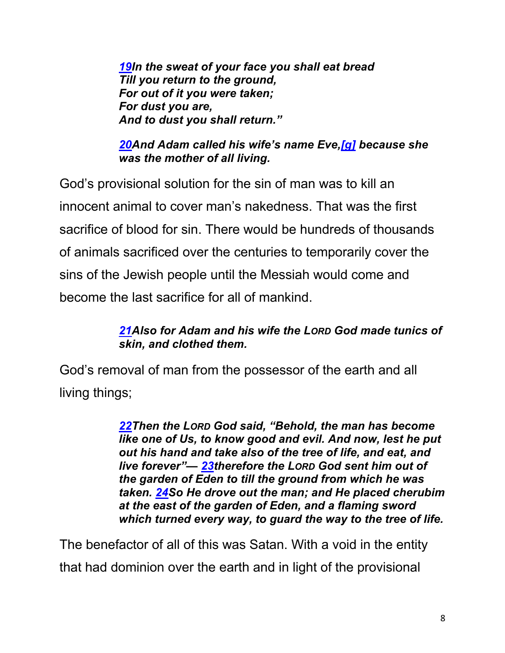*19In the sweat of your face you shall eat bread Till you return to the ground, For out of it you were taken; For dust you are, And to dust you shall return."*

*20And Adam called his wife's name Eve,[g] because she was the mother of all living.*

God's provisional solution for the sin of man was to kill an innocent animal to cover man's nakedness. That was the first sacrifice of blood for sin. There would be hundreds of thousands of animals sacrificed over the centuries to temporarily cover the sins of the Jewish people until the Messiah would come and become the last sacrifice for all of mankind.

#### *21Also for Adam and his wife the LORD God made tunics of skin, and clothed them.*

God's removal of man from the possessor of the earth and all living things;

> *22Then the LORD God said, "Behold, the man has become like one of Us, to know good and evil. And now, lest he put out his hand and take also of the tree of life, and eat, and live forever"— 23therefore the LORD God sent him out of the garden of Eden to till the ground from which he was taken. 24So He drove out the man; and He placed cherubim at the east of the garden of Eden, and a flaming sword which turned every way, to guard the way to the tree of life.*

The benefactor of all of this was Satan. With a void in the entity that had dominion over the earth and in light of the provisional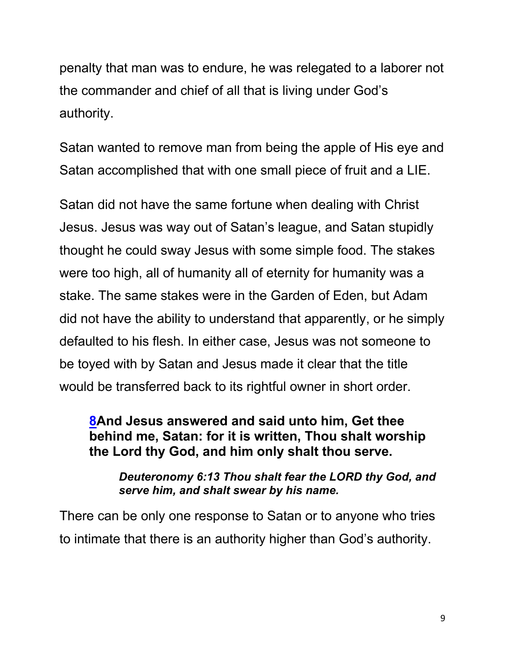penalty that man was to endure, he was relegated to a laborer not the commander and chief of all that is living under God's authority.

Satan wanted to remove man from being the apple of His eye and Satan accomplished that with one small piece of fruit and a LIE.

Satan did not have the same fortune when dealing with Christ Jesus. Jesus was way out of Satan's league, and Satan stupidly thought he could sway Jesus with some simple food. The stakes were too high, all of humanity all of eternity for humanity was a stake. The same stakes were in the Garden of Eden, but Adam did not have the ability to understand that apparently, or he simply defaulted to his flesh. In either case, Jesus was not someone to be toyed with by Satan and Jesus made it clear that the title would be transferred back to its rightful owner in short order.

#### **8And Jesus answered and said unto him, Get thee behind me, Satan: for it is written, Thou shalt worship the Lord thy God, and him only shalt thou serve.**

#### *Deuteronomy 6:13 Thou shalt fear the LORD thy God, and serve him, and shalt swear by his name.*

There can be only one response to Satan or to anyone who tries to intimate that there is an authority higher than God's authority.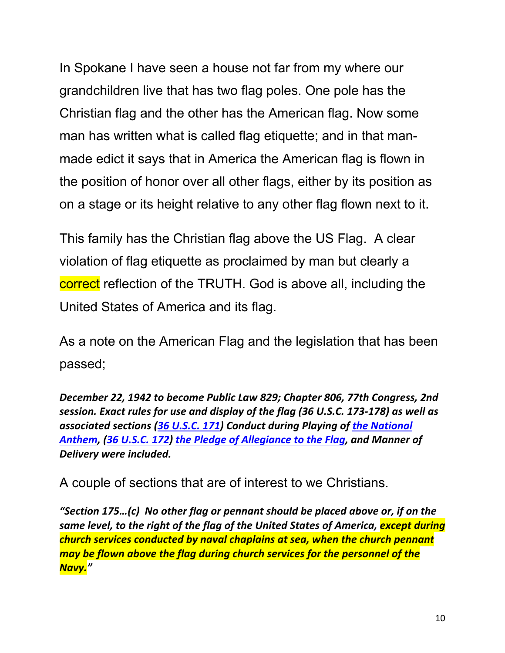In Spokane I have seen a house not far from my where our grandchildren live that has two flag poles. One pole has the Christian flag and the other has the American flag. Now some man has written what is called flag etiquette; and in that manmade edict it says that in America the American flag is flown in the position of honor over all other flags, either by its position as on a stage or its height relative to any other flag flown next to it.

This family has the Christian flag above the US Flag. A clear violation of flag etiquette as proclaimed by man but clearly a correct reflection of the TRUTH. God is above all, including the United States of America and its flag.

As a note on the American Flag and the legislation that has been passed;

*December 22, 1942 to become Public Law 829; Chapter 806, 77th Congress, 2nd session. Exact rules for use and display of the flag (36 U.S.C. 173-178) as well as associated sections (36 U.S.C. 171) Conduct during Playing of the National Anthem, (36 U.S.C. 172) the Pledge of Allegiance to the Flag, and Manner of Delivery were included.* 

A couple of sections that are of interest to we Christians.

*"Section 175…(c) No other flag or pennant should be placed above or, if on the same level, to the right of the flag of the United States of America, except during church services conducted by naval chaplains at sea, when the church pennant may be flown above the flag during church services for the personnel of the Navy."*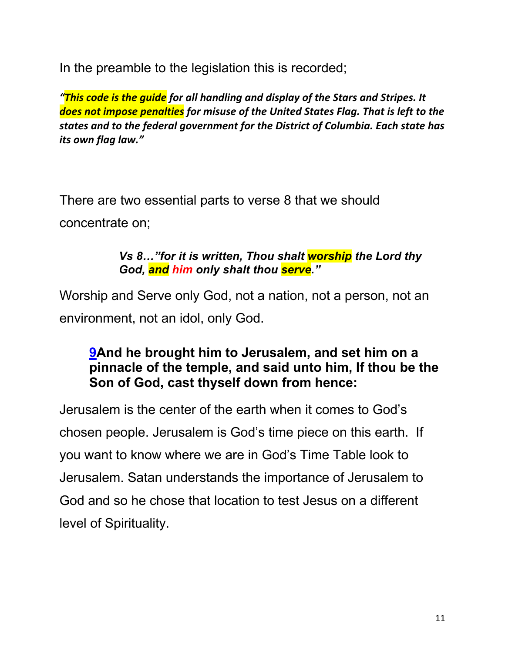In the preamble to the legislation this is recorded;

*"This code is the guide for all handling and display of the Stars and Stripes. It does not impose penalties for misuse of the United States Flag. That is left to the states and to the federal government for the District of Columbia. Each state has its own flag law."*

There are two essential parts to verse 8 that we should concentrate on;

#### *Vs 8…"for it is written, Thou shalt worship the Lord thy God, and him only shalt thou serve."*

Worship and Serve only God, not a nation, not a person, not an environment, not an idol, only God.

#### **9And he brought him to Jerusalem, and set him on a pinnacle of the temple, and said unto him, If thou be the Son of God, cast thyself down from hence:**

Jerusalem is the center of the earth when it comes to God's chosen people. Jerusalem is God's time piece on this earth. If you want to know where we are in God's Time Table look to Jerusalem. Satan understands the importance of Jerusalem to God and so he chose that location to test Jesus on a different level of Spirituality.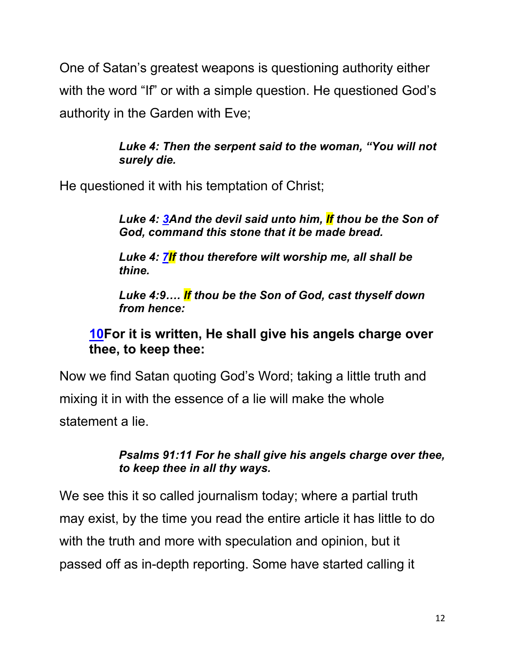One of Satan's greatest weapons is questioning authority either with the word "If" or with a simple question. He questioned God's authority in the Garden with Eve;

> *Luke 4: Then the serpent said to the woman, "You will not surely die.*

He questioned it with his temptation of Christ;

*Luke 4: 3And the devil said unto him, If thou be the Son of God, command this stone that it be made bread.*

*Luke 4: 7If thou therefore wilt worship me, all shall be thine.*

*Luke 4:9…. If thou be the Son of God, cast thyself down from hence:*

#### **10For it is written, He shall give his angels charge over thee, to keep thee:**

Now we find Satan quoting God's Word; taking a little truth and mixing it in with the essence of a lie will make the whole statement a lie.

#### *Psalms 91:11 For he shall give his angels charge over thee, to keep thee in all thy ways.*

We see this it so called journalism today; where a partial truth may exist, by the time you read the entire article it has little to do with the truth and more with speculation and opinion, but it passed off as in-depth reporting. Some have started calling it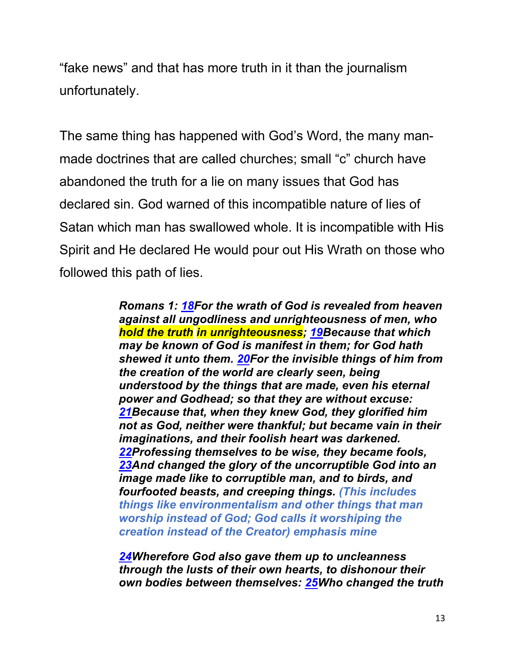"fake news" and that has more truth in it than the journalism unfortunately.

The same thing has happened with God's Word, the many manmade doctrines that are called churches; small "c" church have abandoned the truth for a lie on many issues that God has declared sin. God warned of this incompatible nature of lies of Satan which man has swallowed whole. It is incompatible with His Spirit and He declared He would pour out His Wrath on those who followed this path of lies.

> *Romans 1: 18For the wrath of God is revealed from heaven against all ungodliness and unrighteousness of men, who hold the truth in unrighteousness; 19Because that which may be known of God is manifest in them; for God hath shewed it unto them. 20For the invisible things of him from the creation of the world are clearly seen, being understood by the things that are made, even his eternal power and Godhead; so that they are without excuse: 21Because that, when they knew God, they glorified him not as God, neither were thankful; but became vain in their imaginations, and their foolish heart was darkened. 22Professing themselves to be wise, they became fools, 23And changed the glory of the uncorruptible God into an image made like to corruptible man, and to birds, and fourfooted beasts, and creeping things. (This includes things like environmentalism and other things that man worship instead of God; God calls it worshiping the creation instead of the Creator) emphasis mine*

> *24Wherefore God also gave them up to uncleanness through the lusts of their own hearts, to dishonour their own bodies between themselves: 25Who changed the truth*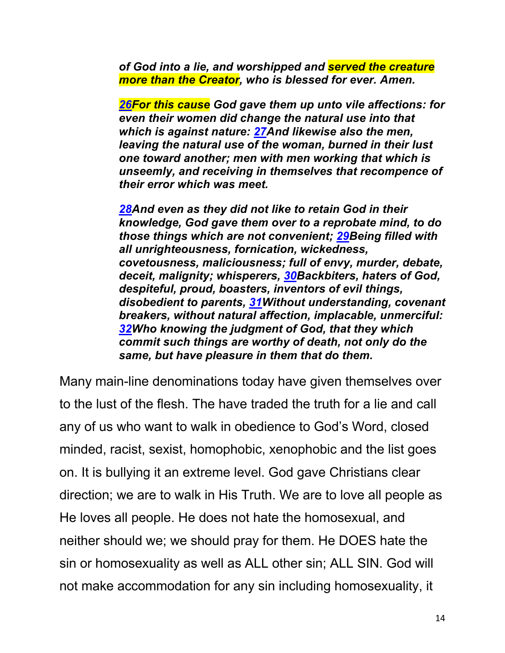*of God into a lie, and worshipped and served the creature more than the Creator, who is blessed for ever. Amen.*

*26For this cause God gave them up unto vile affections: for even their women did change the natural use into that which is against nature: 27And likewise also the men, leaving the natural use of the woman, burned in their lust one toward another; men with men working that which is unseemly, and receiving in themselves that recompence of their error which was meet.*

*28And even as they did not like to retain God in their knowledge, God gave them over to a reprobate mind, to do those things which are not convenient; 29Being filled with all unrighteousness, fornication, wickedness, covetousness, maliciousness; full of envy, murder, debate, deceit, malignity; whisperers, 30Backbiters, haters of God, despiteful, proud, boasters, inventors of evil things, disobedient to parents, 31Without understanding, covenant breakers, without natural affection, implacable, unmerciful: 32Who knowing the judgment of God, that they which commit such things are worthy of death, not only do the same, but have pleasure in them that do them.*

Many main-line denominations today have given themselves over to the lust of the flesh. The have traded the truth for a lie and call any of us who want to walk in obedience to God's Word, closed minded, racist, sexist, homophobic, xenophobic and the list goes on. It is bullying it an extreme level. God gave Christians clear direction; we are to walk in His Truth. We are to love all people as He loves all people. He does not hate the homosexual, and neither should we; we should pray for them. He DOES hate the sin or homosexuality as well as ALL other sin; ALL SIN. God will not make accommodation for any sin including homosexuality, it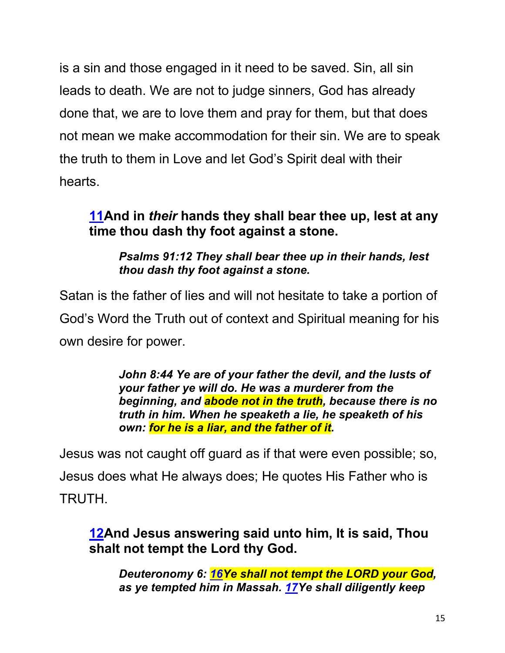is a sin and those engaged in it need to be saved. Sin, all sin leads to death. We are not to judge sinners, God has already done that, we are to love them and pray for them, but that does not mean we make accommodation for their sin. We are to speak the truth to them in Love and let God's Spirit deal with their hearts.

# **11And in** *their* **hands they shall bear thee up, lest at any time thou dash thy foot against a stone.**

*Psalms 91:12 They shall bear thee up in their hands, lest thou dash thy foot against a stone.*

Satan is the father of lies and will not hesitate to take a portion of God's Word the Truth out of context and Spiritual meaning for his own desire for power.

> *John 8:44 Ye are of your father the devil, and the lusts of your father ye will do. He was a murderer from the beginning, and abode not in the truth, because there is no truth in him. When he speaketh a lie, he speaketh of his own: for he is a liar, and the father of it.*

Jesus was not caught off guard as if that were even possible; so, Jesus does what He always does; He quotes His Father who is TRUTH.

**12And Jesus answering said unto him, It is said, Thou shalt not tempt the Lord thy God.**

*Deuteronomy 6: 16Ye shall not tempt the LORD your God, as ye tempted him in Massah. 17Ye shall diligently keep*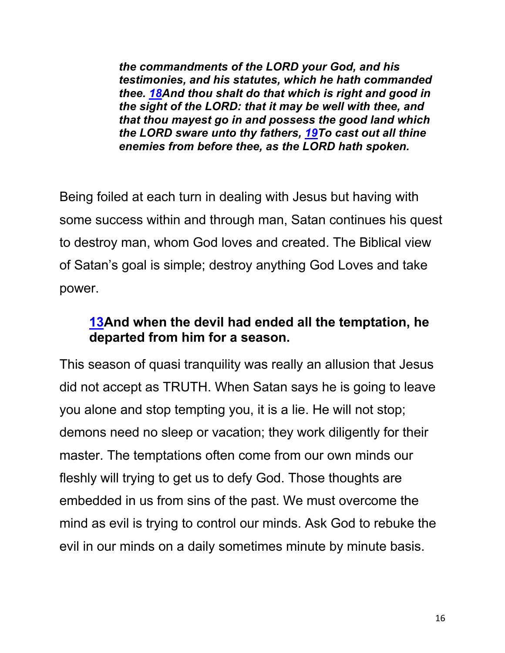*the commandments of the LORD your God, and his testimonies, and his statutes, which he hath commanded thee. 18And thou shalt do that which is right and good in the sight of the LORD: that it may be well with thee, and that thou mayest go in and possess the good land which the LORD sware unto thy fathers, 19To cast out all thine enemies from before thee, as the LORD hath spoken.*

Being foiled at each turn in dealing with Jesus but having with some success within and through man, Satan continues his quest to destroy man, whom God loves and created. The Biblical view of Satan's goal is simple; destroy anything God Loves and take power.

### **13And when the devil had ended all the temptation, he departed from him for a season.**

This season of quasi tranquility was really an allusion that Jesus did not accept as TRUTH. When Satan says he is going to leave you alone and stop tempting you, it is a lie. He will not stop; demons need no sleep or vacation; they work diligently for their master. The temptations often come from our own minds our fleshly will trying to get us to defy God. Those thoughts are embedded in us from sins of the past. We must overcome the mind as evil is trying to control our minds. Ask God to rebuke the evil in our minds on a daily sometimes minute by minute basis.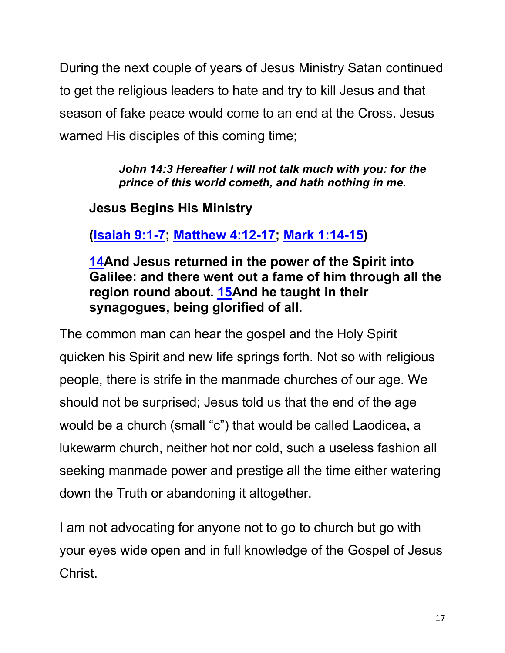During the next couple of years of Jesus Ministry Satan continued to get the religious leaders to hate and try to kill Jesus and that season of fake peace would come to an end at the Cross. Jesus warned His disciples of this coming time;

> *John 14:3 Hereafter I will not talk much with you: for the prince of this world cometh, and hath nothing in me.*

# **Jesus Begins His Ministry**

**(Isaiah 9:1-7; Matthew 4:12-17; Mark 1:14-15)**

**14And Jesus returned in the power of the Spirit into Galilee: and there went out a fame of him through all the region round about. 15And he taught in their synagogues, being glorified of all.**

The common man can hear the gospel and the Holy Spirit quicken his Spirit and new life springs forth. Not so with religious people, there is strife in the manmade churches of our age. We should not be surprised; Jesus told us that the end of the age would be a church (small "c") that would be called Laodicea, a lukewarm church, neither hot nor cold, such a useless fashion all seeking manmade power and prestige all the time either watering down the Truth or abandoning it altogether.

I am not advocating for anyone not to go to church but go with your eyes wide open and in full knowledge of the Gospel of Jesus Christ.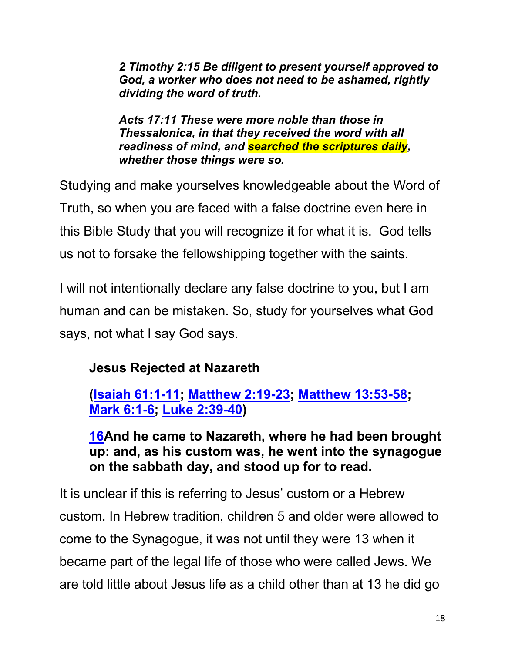*2 Timothy 2:15 Be diligent to present yourself approved to God, a worker who does not need to be ashamed, rightly dividing the word of truth.*

*Acts 17:11 These were more noble than those in Thessalonica, in that they received the word with all readiness of mind, and searched the scriptures daily, whether those things were so.*

Studying and make yourselves knowledgeable about the Word of Truth, so when you are faced with a false doctrine even here in this Bible Study that you will recognize it for what it is. God tells us not to forsake the fellowshipping together with the saints.

I will not intentionally declare any false doctrine to you, but I am human and can be mistaken. So, study for yourselves what God says, not what I say God says.

# **Jesus Rejected at Nazareth**

**(Isaiah 61:1-11; Matthew 2:19-23; Matthew 13:53-58; Mark 6:1-6; Luke 2:39-40)**

**16And he came to Nazareth, where he had been brought up: and, as his custom was, he went into the synagogue on the sabbath day, and stood up for to read.**

It is unclear if this is referring to Jesus' custom or a Hebrew custom. In Hebrew tradition, children 5 and older were allowed to come to the Synagogue, it was not until they were 13 when it became part of the legal life of those who were called Jews. We are told little about Jesus life as a child other than at 13 he did go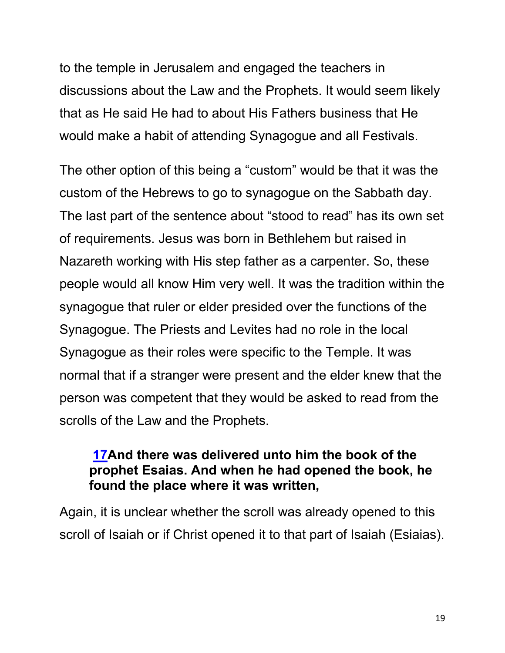to the temple in Jerusalem and engaged the teachers in discussions about the Law and the Prophets. It would seem likely that as He said He had to about His Fathers business that He would make a habit of attending Synagogue and all Festivals.

The other option of this being a "custom" would be that it was the custom of the Hebrews to go to synagogue on the Sabbath day. The last part of the sentence about "stood to read" has its own set of requirements. Jesus was born in Bethlehem but raised in Nazareth working with His step father as a carpenter. So, these people would all know Him very well. It was the tradition within the synagogue that ruler or elder presided over the functions of the Synagogue. The Priests and Levites had no role in the local Synagogue as their roles were specific to the Temple. It was normal that if a stranger were present and the elder knew that the person was competent that they would be asked to read from the scrolls of the Law and the Prophets.

#### **17And there was delivered unto him the book of the prophet Esaias. And when he had opened the book, he found the place where it was written,**

Again, it is unclear whether the scroll was already opened to this scroll of Isaiah or if Christ opened it to that part of Isaiah (Esiaias).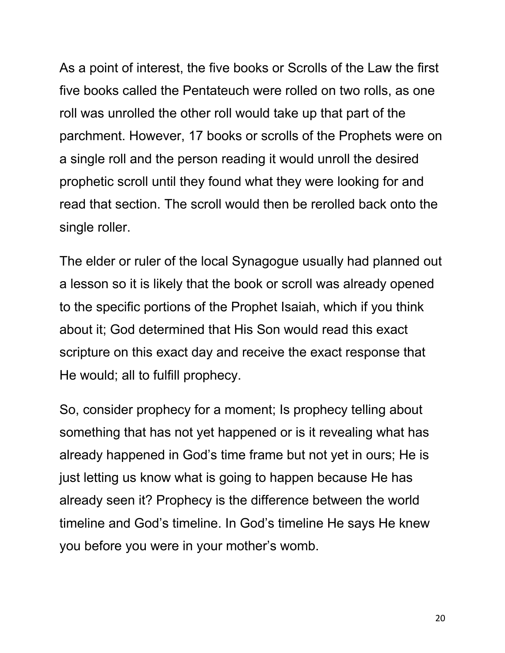As a point of interest, the five books or Scrolls of the Law the first five books called the Pentateuch were rolled on two rolls, as one roll was unrolled the other roll would take up that part of the parchment. However, 17 books or scrolls of the Prophets were on a single roll and the person reading it would unroll the desired prophetic scroll until they found what they were looking for and read that section. The scroll would then be rerolled back onto the single roller.

The elder or ruler of the local Synagogue usually had planned out a lesson so it is likely that the book or scroll was already opened to the specific portions of the Prophet Isaiah, which if you think about it; God determined that His Son would read this exact scripture on this exact day and receive the exact response that He would; all to fulfill prophecy.

So, consider prophecy for a moment; Is prophecy telling about something that has not yet happened or is it revealing what has already happened in God's time frame but not yet in ours; He is just letting us know what is going to happen because He has already seen it? Prophecy is the difference between the world timeline and God's timeline. In God's timeline He says He knew you before you were in your mother's womb.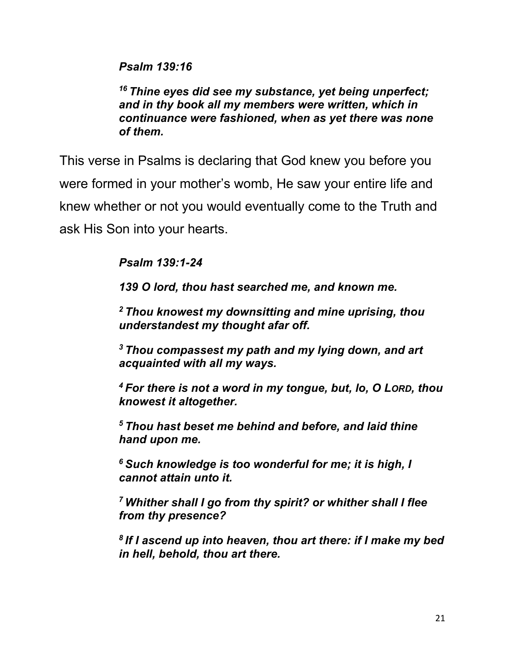*Psalm 139:16*

*<sup>16</sup> Thine eyes did see my substance, yet being unperfect; and in thy book all my members were written, which in continuance were fashioned, when as yet there was none of them.*

This verse in Psalms is declaring that God knew you before you were formed in your mother's womb, He saw your entire life and knew whether or not you would eventually come to the Truth and ask His Son into your hearts.

*Psalm 139:1-24*

*139 O lord, thou hast searched me, and known me.*

*<sup>2</sup> Thou knowest my downsitting and mine uprising, thou understandest my thought afar off.*

*<sup>3</sup> Thou compassest my path and my lying down, and art acquainted with all my ways.*

*<sup>4</sup> For there is not a word in my tongue, but, lo, O LORD, thou knowest it altogether.*

*<sup>5</sup> Thou hast beset me behind and before, and laid thine hand upon me.*

*<sup>6</sup> Such knowledge is too wonderful for me; it is high, I cannot attain unto it.*

*<sup>7</sup> Whither shall I go from thy spirit? or whither shall I flee from thy presence?*

*<sup>8</sup> If I ascend up into heaven, thou art there: if I make my bed in hell, behold, thou art there.*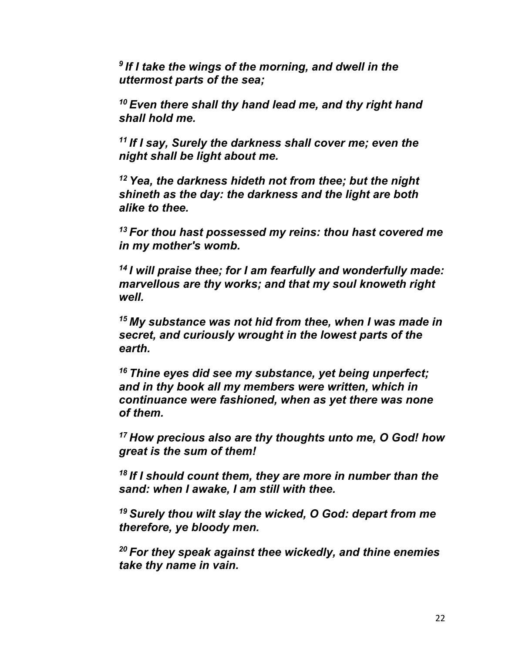*<sup>9</sup> If I take the wings of the morning, and dwell in the uttermost parts of the sea;*

*<sup>10</sup> Even there shall thy hand lead me, and thy right hand shall hold me.*

*<sup>11</sup> If I say, Surely the darkness shall cover me; even the night shall be light about me.*

*<sup>12</sup> Yea, the darkness hideth not from thee; but the night shineth as the day: the darkness and the light are both alike to thee.*

*<sup>13</sup> For thou hast possessed my reins: thou hast covered me in my mother's womb.*

*<sup>14</sup> I will praise thee; for I am fearfully and wonderfully made: marvellous are thy works; and that my soul knoweth right well.*

*<sup>15</sup> My substance was not hid from thee, when I was made in secret, and curiously wrought in the lowest parts of the earth.*

*<sup>16</sup> Thine eyes did see my substance, yet being unperfect; and in thy book all my members were written, which in continuance were fashioned, when as yet there was none of them.*

*<sup>17</sup> How precious also are thy thoughts unto me, O God! how great is the sum of them!*

*<sup>18</sup> If I should count them, they are more in number than the sand: when I awake, I am still with thee.*

*<sup>19</sup> Surely thou wilt slay the wicked, O God: depart from me therefore, ye bloody men.*

*<sup>20</sup> For they speak against thee wickedly, and thine enemies take thy name in vain.*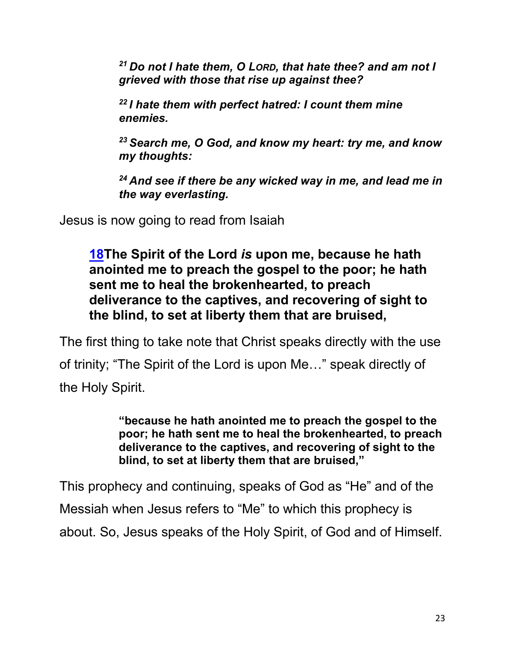*<sup>21</sup> Do not I hate them, O LORD, that hate thee? and am not I grieved with those that rise up against thee?*

*<sup>22</sup> I hate them with perfect hatred: I count them mine enemies.*

*<sup>23</sup> Search me, O God, and know my heart: try me, and know my thoughts:*

*<sup>24</sup> And see if there be any wicked way in me, and lead me in the way everlasting.*

Jesus is now going to read from Isaiah

**18The Spirit of the Lord** *is* **upon me, because he hath anointed me to preach the gospel to the poor; he hath sent me to heal the brokenhearted, to preach deliverance to the captives, and recovering of sight to the blind, to set at liberty them that are bruised,**

The first thing to take note that Christ speaks directly with the use of trinity; "The Spirit of the Lord is upon Me…" speak directly of the Holy Spirit.

> **"because he hath anointed me to preach the gospel to the poor; he hath sent me to heal the brokenhearted, to preach deliverance to the captives, and recovering of sight to the blind, to set at liberty them that are bruised,"**

This prophecy and continuing, speaks of God as "He" and of the Messiah when Jesus refers to "Me" to which this prophecy is about. So, Jesus speaks of the Holy Spirit, of God and of Himself.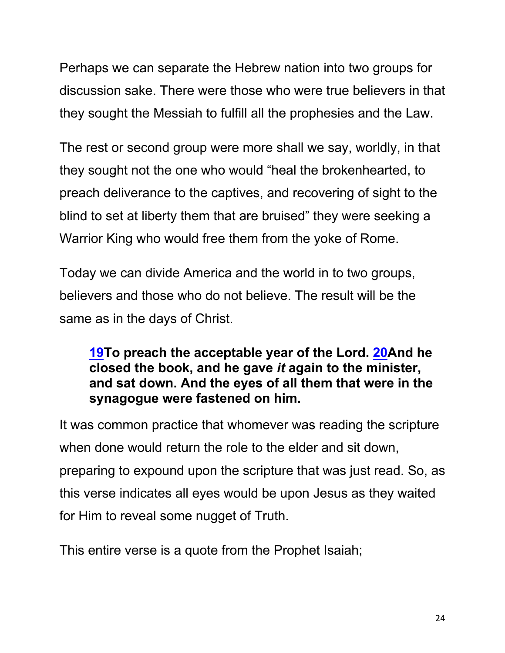Perhaps we can separate the Hebrew nation into two groups for discussion sake. There were those who were true believers in that they sought the Messiah to fulfill all the prophesies and the Law.

The rest or second group were more shall we say, worldly, in that they sought not the one who would "heal the brokenhearted, to preach deliverance to the captives, and recovering of sight to the blind to set at liberty them that are bruised" they were seeking a Warrior King who would free them from the yoke of Rome.

Today we can divide America and the world in to two groups, believers and those who do not believe. The result will be the same as in the days of Christ.

#### **19To preach the acceptable year of the Lord. 20And he closed the book, and he gave** *it* **again to the minister, and sat down. And the eyes of all them that were in the synagogue were fastened on him.**

It was common practice that whomever was reading the scripture when done would return the role to the elder and sit down, preparing to expound upon the scripture that was just read. So, as this verse indicates all eyes would be upon Jesus as they waited for Him to reveal some nugget of Truth.

This entire verse is a quote from the Prophet Isaiah;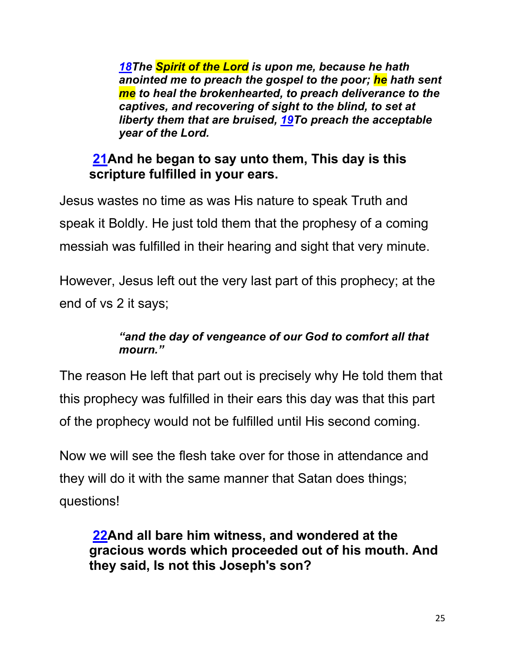*18The Spirit of the Lord is upon me, because he hath anointed me to preach the gospel to the poor; he hath sent me to heal the brokenhearted, to preach deliverance to the captives, and recovering of sight to the blind, to set at liberty them that are bruised, 19To preach the acceptable year of the Lord.*

## **21And he began to say unto them, This day is this scripture fulfilled in your ears.**

Jesus wastes no time as was His nature to speak Truth and speak it Boldly. He just told them that the prophesy of a coming messiah was fulfilled in their hearing and sight that very minute.

However, Jesus left out the very last part of this prophecy; at the end of vs 2 it says;

#### *"and the day of vengeance of our God to comfort all that mourn."*

The reason He left that part out is precisely why He told them that this prophecy was fulfilled in their ears this day was that this part of the prophecy would not be fulfilled until His second coming.

Now we will see the flesh take over for those in attendance and they will do it with the same manner that Satan does things; questions!

**22And all bare him witness, and wondered at the gracious words which proceeded out of his mouth. And they said, Is not this Joseph's son?**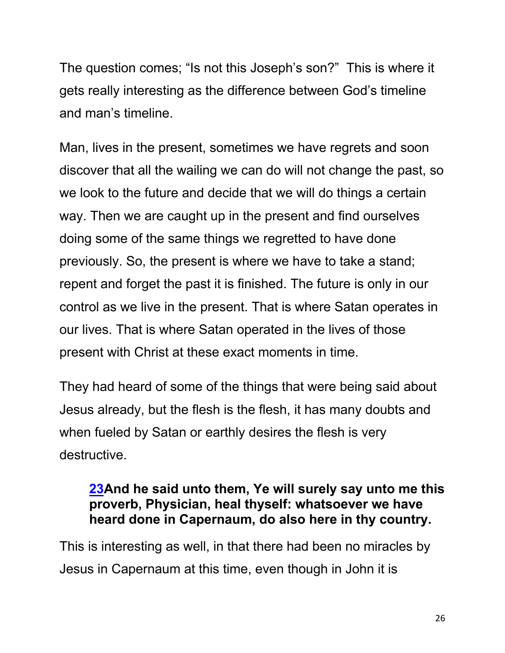The question comes; "Is not this Joseph's son?" This is where it gets really interesting as the difference between God's timeline and man's timeline.

Man, lives in the present, sometimes we have regrets and soon discover that all the wailing we can do will not change the past, so we look to the future and decide that we will do things a certain way. Then we are caught up in the present and find ourselves doing some of the same things we regretted to have done previously. So, the present is where we have to take a stand; repent and forget the past it is finished. The future is only in our control as we live in the present. That is where Satan operates in our lives. That is where Satan operated in the lives of those present with Christ at these exact moments in time.

They had heard of some of the things that were being said about Jesus already, but the flesh is the flesh, it has many doubts and when fueled by Satan or earthly desires the flesh is very destructive.

#### **23And he said unto them, Ye will surely say unto me this proverb, Physician, heal thyself: whatsoever we have heard done in Capernaum, do also here in thy country.**

This is interesting as well, in that there had been no miracles by Jesus in Capernaum at this time, even though in John it is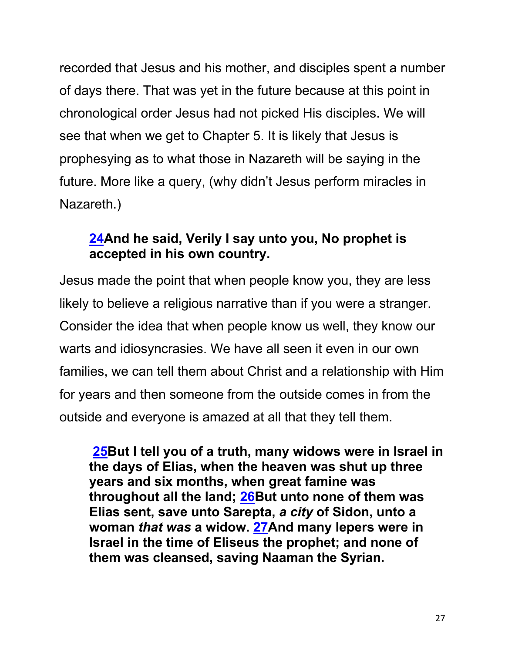recorded that Jesus and his mother, and disciples spent a number of days there. That was yet in the future because at this point in chronological order Jesus had not picked His disciples. We will see that when we get to Chapter 5. It is likely that Jesus is prophesying as to what those in Nazareth will be saying in the future. More like a query, (why didn't Jesus perform miracles in Nazareth.)

## **24And he said, Verily I say unto you, No prophet is accepted in his own country.**

Jesus made the point that when people know you, they are less likely to believe a religious narrative than if you were a stranger. Consider the idea that when people know us well, they know our warts and idiosyncrasies. We have all seen it even in our own families, we can tell them about Christ and a relationship with Him for years and then someone from the outside comes in from the outside and everyone is amazed at all that they tell them.

**25But I tell you of a truth, many widows were in Israel in the days of Elias, when the heaven was shut up three years and six months, when great famine was throughout all the land; 26But unto none of them was Elias sent, save unto Sarepta,** *a city* **of Sidon, unto a woman** *that was* **a widow. 27And many lepers were in Israel in the time of Eliseus the prophet; and none of them was cleansed, saving Naaman the Syrian.**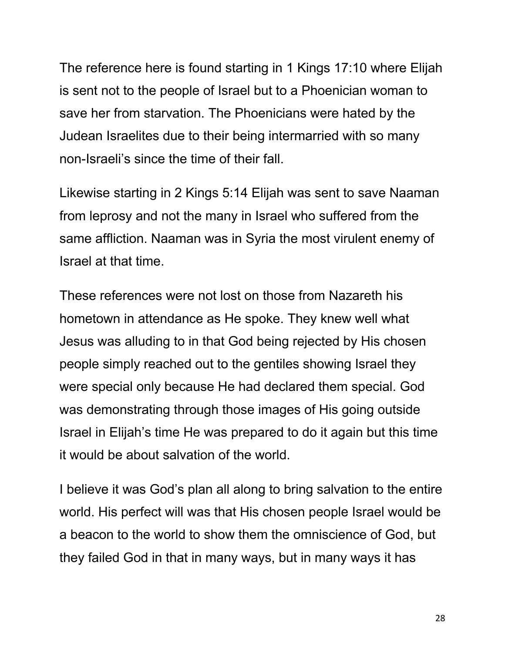The reference here is found starting in 1 Kings 17:10 where Elijah is sent not to the people of Israel but to a Phoenician woman to save her from starvation. The Phoenicians were hated by the Judean Israelites due to their being intermarried with so many non-Israeli's since the time of their fall.

Likewise starting in 2 Kings 5:14 Elijah was sent to save Naaman from leprosy and not the many in Israel who suffered from the same affliction. Naaman was in Syria the most virulent enemy of Israel at that time.

These references were not lost on those from Nazareth his hometown in attendance as He spoke. They knew well what Jesus was alluding to in that God being rejected by His chosen people simply reached out to the gentiles showing Israel they were special only because He had declared them special. God was demonstrating through those images of His going outside Israel in Elijah's time He was prepared to do it again but this time it would be about salvation of the world.

I believe it was God's plan all along to bring salvation to the entire world. His perfect will was that His chosen people Israel would be a beacon to the world to show them the omniscience of God, but they failed God in that in many ways, but in many ways it has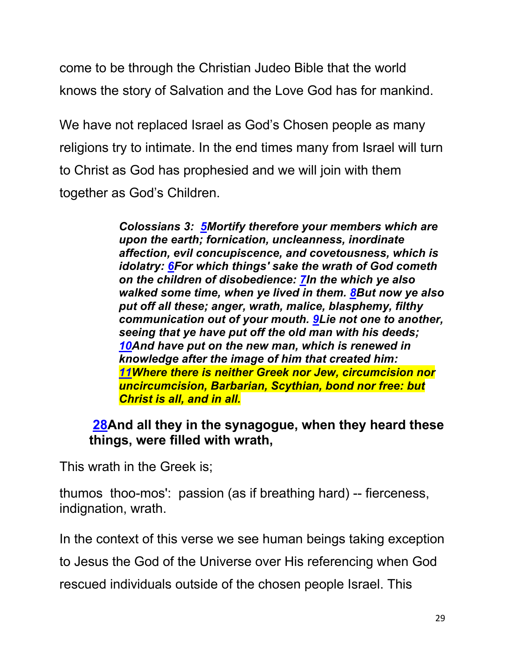come to be through the Christian Judeo Bible that the world knows the story of Salvation and the Love God has for mankind.

We have not replaced Israel as God's Chosen people as many religions try to intimate. In the end times many from Israel will turn to Christ as God has prophesied and we will join with them together as God's Children.

> *Colossians 3: 5Mortify therefore your members which are upon the earth; fornication, uncleanness, inordinate affection, evil concupiscence, and covetousness, which is idolatry: 6For which things' sake the wrath of God cometh on the children of disobedience: 7In the which ye also walked some time, when ye lived in them. 8But now ye also put off all these; anger, wrath, malice, blasphemy, filthy communication out of your mouth. 9Lie not one to another, seeing that ye have put off the old man with his deeds; 10And have put on the new man, which is renewed in knowledge after the image of him that created him: 11Where there is neither Greek nor Jew, circumcision nor uncircumcision, Barbarian, Scythian, bond nor free: but Christ is all, and in all.*

#### **28And all they in the synagogue, when they heard these things, were filled with wrath,**

This wrath in the Greek is;

thumos thoo-mos': passion (as if breathing hard) -- fierceness, indignation, wrath.

In the context of this verse we see human beings taking exception

to Jesus the God of the Universe over His referencing when God

rescued individuals outside of the chosen people Israel. This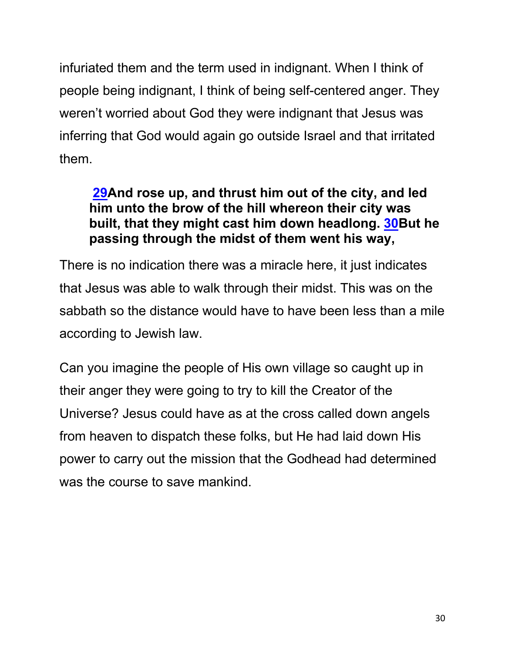infuriated them and the term used in indignant. When I think of people being indignant, I think of being self-centered anger. They weren't worried about God they were indignant that Jesus was inferring that God would again go outside Israel and that irritated them.

## **29And rose up, and thrust him out of the city, and led him unto the brow of the hill whereon their city was built, that they might cast him down headlong. 30But he passing through the midst of them went his way,**

There is no indication there was a miracle here, it just indicates that Jesus was able to walk through their midst. This was on the sabbath so the distance would have to have been less than a mile according to Jewish law.

Can you imagine the people of His own village so caught up in their anger they were going to try to kill the Creator of the Universe? Jesus could have as at the cross called down angels from heaven to dispatch these folks, but He had laid down His power to carry out the mission that the Godhead had determined was the course to save mankind.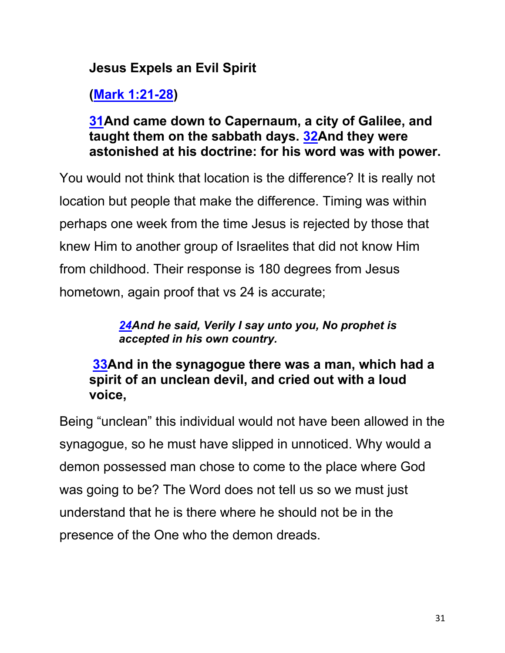## **Jesus Expels an Evil Spirit**

**(Mark 1:21-28)**

#### **31And came down to Capernaum, a city of Galilee, and taught them on the sabbath days. 32And they were astonished at his doctrine: for his word was with power.**

You would not think that location is the difference? It is really not location but people that make the difference. Timing was within perhaps one week from the time Jesus is rejected by those that knew Him to another group of Israelites that did not know Him from childhood. Their response is 180 degrees from Jesus hometown, again proof that vs 24 is accurate;

#### *24And he said, Verily I say unto you, No prophet is accepted in his own country.*

### **33And in the synagogue there was a man, which had a spirit of an unclean devil, and cried out with a loud voice,**

Being "unclean" this individual would not have been allowed in the synagogue, so he must have slipped in unnoticed. Why would a demon possessed man chose to come to the place where God was going to be? The Word does not tell us so we must just understand that he is there where he should not be in the presence of the One who the demon dreads.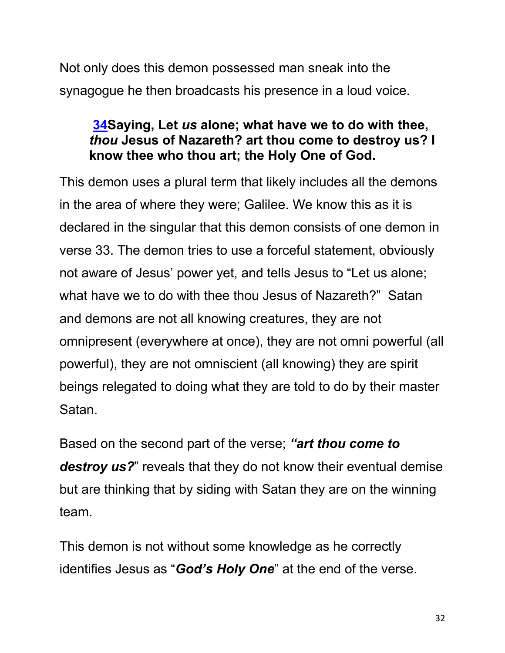Not only does this demon possessed man sneak into the synagogue he then broadcasts his presence in a loud voice.

### **34Saying, Let** *us* **alone; what have we to do with thee,**  *thou* **Jesus of Nazareth? art thou come to destroy us? I know thee who thou art; the Holy One of God.**

This demon uses a plural term that likely includes all the demons in the area of where they were; Galilee. We know this as it is declared in the singular that this demon consists of one demon in verse 33. The demon tries to use a forceful statement, obviously not aware of Jesus' power yet, and tells Jesus to "Let us alone; what have we to do with thee thou Jesus of Nazareth?" Satan and demons are not all knowing creatures, they are not omnipresent (everywhere at once), they are not omni powerful (all powerful), they are not omniscient (all knowing) they are spirit beings relegated to doing what they are told to do by their master Satan.

Based on the second part of the verse; *"art thou come to destroy us?*" reveals that they do not know their eventual demise but are thinking that by siding with Satan they are on the winning team.

This demon is not without some knowledge as he correctly identifies Jesus as "*God's Holy One*" at the end of the verse.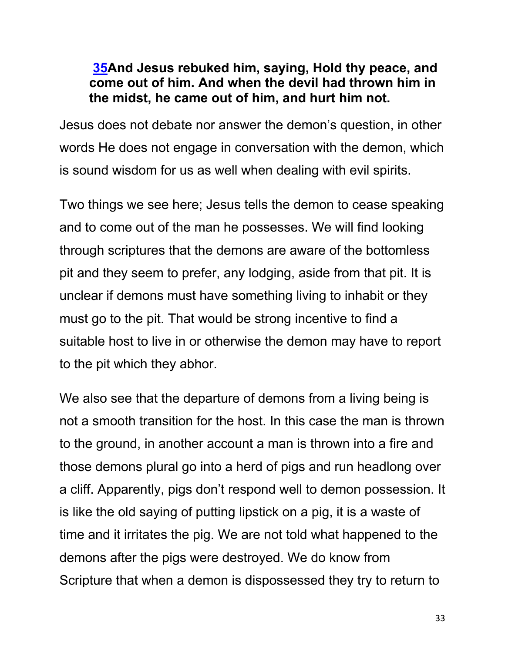#### **35And Jesus rebuked him, saying, Hold thy peace, and come out of him. And when the devil had thrown him in the midst, he came out of him, and hurt him not.**

Jesus does not debate nor answer the demon's question, in other words He does not engage in conversation with the demon, which is sound wisdom for us as well when dealing with evil spirits.

Two things we see here; Jesus tells the demon to cease speaking and to come out of the man he possesses. We will find looking through scriptures that the demons are aware of the bottomless pit and they seem to prefer, any lodging, aside from that pit. It is unclear if demons must have something living to inhabit or they must go to the pit. That would be strong incentive to find a suitable host to live in or otherwise the demon may have to report to the pit which they abhor.

We also see that the departure of demons from a living being is not a smooth transition for the host. In this case the man is thrown to the ground, in another account a man is thrown into a fire and those demons plural go into a herd of pigs and run headlong over a cliff. Apparently, pigs don't respond well to demon possession. It is like the old saying of putting lipstick on a pig, it is a waste of time and it irritates the pig. We are not told what happened to the demons after the pigs were destroyed. We do know from Scripture that when a demon is dispossessed they try to return to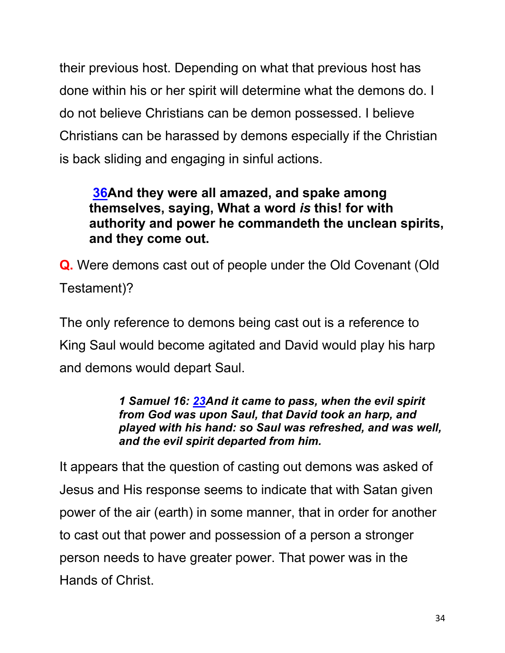their previous host. Depending on what that previous host has done within his or her spirit will determine what the demons do. I do not believe Christians can be demon possessed. I believe Christians can be harassed by demons especially if the Christian is back sliding and engaging in sinful actions.

### **36And they were all amazed, and spake among themselves, saying, What a word** *is* **this! for with authority and power he commandeth the unclean spirits, and they come out.**

**Q.** Were demons cast out of people under the Old Covenant (Old Testament)?

The only reference to demons being cast out is a reference to King Saul would become agitated and David would play his harp and demons would depart Saul.

> *1 Samuel 16: 23And it came to pass, when the evil spirit from God was upon Saul, that David took an harp, and played with his hand: so Saul was refreshed, and was well, and the evil spirit departed from him.*

It appears that the question of casting out demons was asked of Jesus and His response seems to indicate that with Satan given power of the air (earth) in some manner, that in order for another to cast out that power and possession of a person a stronger person needs to have greater power. That power was in the Hands of Christ.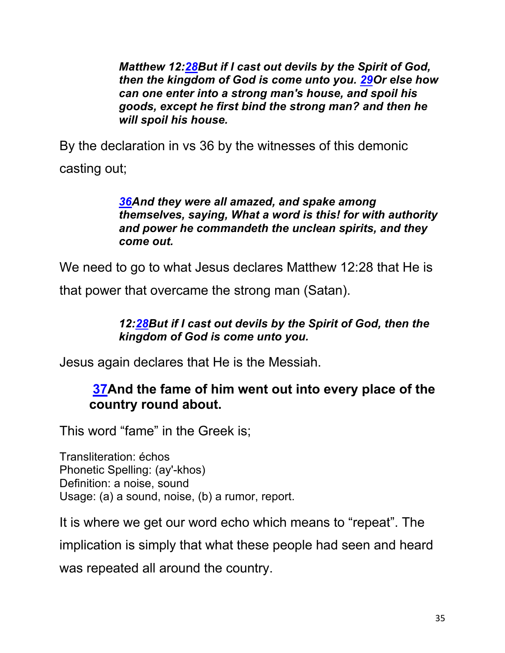*Matthew 12:28But if I cast out devils by the Spirit of God, then the kingdom of God is come unto you. 29Or else how can one enter into a strong man's house, and spoil his goods, except he first bind the strong man? and then he will spoil his house.*

By the declaration in vs 36 by the witnesses of this demonic casting out;

#### *36And they were all amazed, and spake among themselves, saying, What a word is this! for with authority and power he commandeth the unclean spirits, and they come out.*

We need to go to what Jesus declares Matthew 12:28 that He is

that power that overcame the strong man (Satan).

#### *12:28But if I cast out devils by the Spirit of God, then the kingdom of God is come unto you.*

Jesus again declares that He is the Messiah.

#### **37And the fame of him went out into every place of the country round about.**

This word "fame" in the Greek is;

Transliteration: échos Phonetic Spelling: (ay'-khos) Definition: a noise, sound Usage: (a) a sound, noise, (b) a rumor, report.

It is where we get our word echo which means to "repeat". The implication is simply that what these people had seen and heard was repeated all around the country.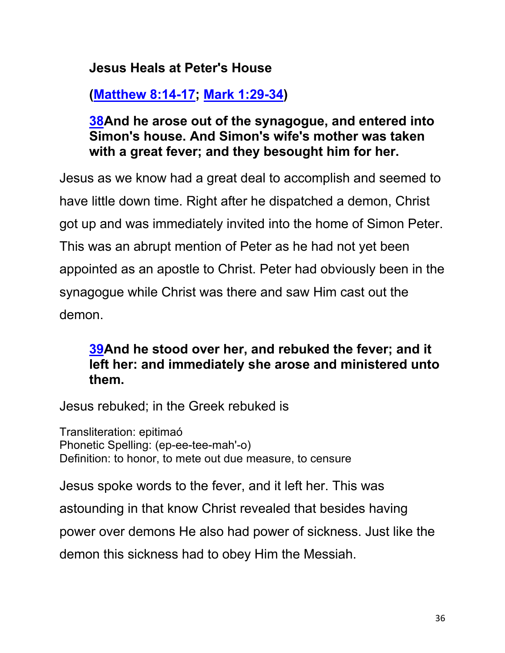## **Jesus Heals at Peter's House**

# **(Matthew 8:14-17; Mark 1:29-34)**

#### **38And he arose out of the synagogue, and entered into Simon's house. And Simon's wife's mother was taken with a great fever; and they besought him for her.**

Jesus as we know had a great deal to accomplish and seemed to have little down time. Right after he dispatched a demon, Christ got up and was immediately invited into the home of Simon Peter. This was an abrupt mention of Peter as he had not yet been appointed as an apostle to Christ. Peter had obviously been in the synagogue while Christ was there and saw Him cast out the demon.

#### **39And he stood over her, and rebuked the fever; and it left her: and immediately she arose and ministered unto them.**

Jesus rebuked; in the Greek rebuked is

Transliteration: epitimaó Phonetic Spelling: (ep-ee-tee-mah'-o) Definition: to honor, to mete out due measure, to censure

Jesus spoke words to the fever, and it left her. This was astounding in that know Christ revealed that besides having power over demons He also had power of sickness. Just like the

demon this sickness had to obey Him the Messiah.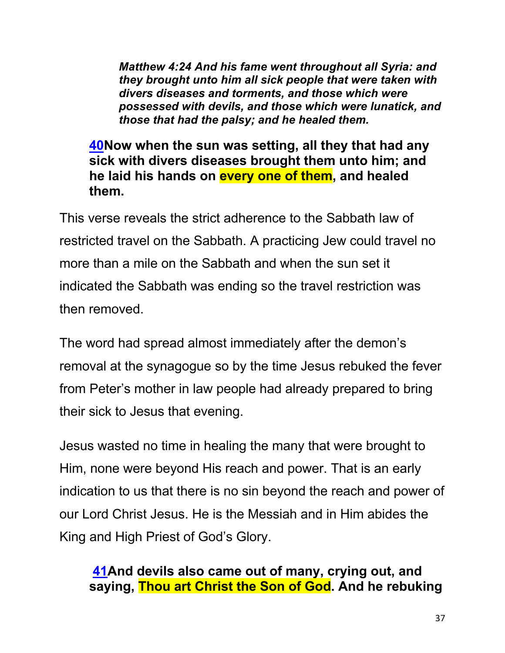*Matthew 4:24 And his fame went throughout all Syria: and they brought unto him all sick people that were taken with divers diseases and torments, and those which were possessed with devils, and those which were lunatick, and those that had the palsy; and he healed them.*

#### **40Now when the sun was setting, all they that had any sick with divers diseases brought them unto him; and he laid his hands on every one of them, and healed them.**

This verse reveals the strict adherence to the Sabbath law of restricted travel on the Sabbath. A practicing Jew could travel no more than a mile on the Sabbath and when the sun set it indicated the Sabbath was ending so the travel restriction was then removed.

The word had spread almost immediately after the demon's removal at the synagogue so by the time Jesus rebuked the fever from Peter's mother in law people had already prepared to bring their sick to Jesus that evening.

Jesus wasted no time in healing the many that were brought to Him, none were beyond His reach and power. That is an early indication to us that there is no sin beyond the reach and power of our Lord Christ Jesus. He is the Messiah and in Him abides the King and High Priest of God's Glory.

## **41And devils also came out of many, crying out, and saying, Thou art Christ the Son of God. And he rebuking**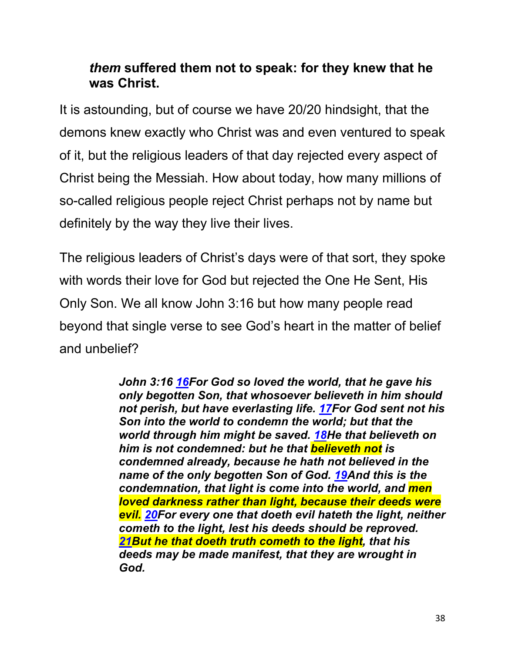## *them* **suffered them not to speak: for they knew that he was Christ.**

It is astounding, but of course we have 20/20 hindsight, that the demons knew exactly who Christ was and even ventured to speak of it, but the religious leaders of that day rejected every aspect of Christ being the Messiah. How about today, how many millions of so-called religious people reject Christ perhaps not by name but definitely by the way they live their lives.

The religious leaders of Christ's days were of that sort, they spoke with words their love for God but rejected the One He Sent, His Only Son. We all know John 3:16 but how many people read beyond that single verse to see God's heart in the matter of belief and unbelief?

> *John 3:16 16For God so loved the world, that he gave his only begotten Son, that whosoever believeth in him should not perish, but have everlasting life. 17For God sent not his Son into the world to condemn the world; but that the world through him might be saved. 18He that believeth on him is not condemned: but he that believeth not is condemned already, because he hath not believed in the name of the only begotten Son of God. 19And this is the condemnation, that light is come into the world, and men loved darkness rather than light, because their deeds were evil. 20For every one that doeth evil hateth the light, neither cometh to the light, lest his deeds should be reproved. 21But he that doeth truth cometh to the light, that his deeds may be made manifest, that they are wrought in God.*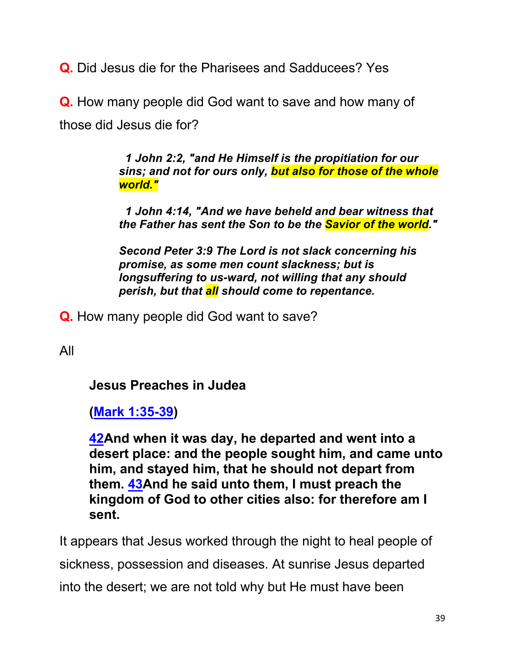**Q.** Did Jesus die for the Pharisees and Sadducees? Yes

**Q.** How many people did God want to save and how many of those did Jesus die for?

> *1 John 2:2, "and He Himself is the propitiation for our sins; and not for ours only, but also for those of the whole world."*

> *1 John 4:14, "And we have beheld and bear witness that the Father has sent the Son to be the Savior of the world."*

*Second Peter 3:9 The Lord is not slack concerning his promise, as some men count slackness; but is longsuffering to us-ward, not willing that any should perish, but that all should come to repentance.*

**Q.** How many people did God want to save?

All

**Jesus Preaches in Judea**

**(Mark 1:35-39)**

**42And when it was day, he departed and went into a desert place: and the people sought him, and came unto him, and stayed him, that he should not depart from them. 43And he said unto them, I must preach the kingdom of God to other cities also: for therefore am I sent.**

It appears that Jesus worked through the night to heal people of sickness, possession and diseases. At sunrise Jesus departed into the desert; we are not told why but He must have been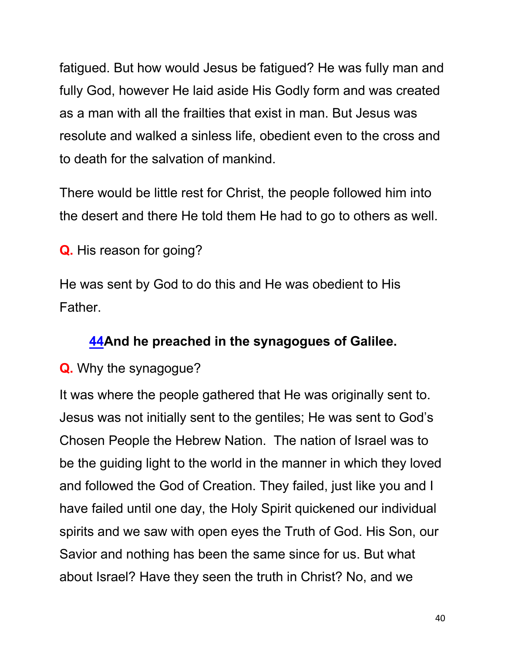fatigued. But how would Jesus be fatigued? He was fully man and fully God, however He laid aside His Godly form and was created as a man with all the frailties that exist in man. But Jesus was resolute and walked a sinless life, obedient even to the cross and to death for the salvation of mankind.

There would be little rest for Christ, the people followed him into the desert and there He told them He had to go to others as well.

**Q.** His reason for going?

He was sent by God to do this and He was obedient to His Father.

## **44And he preached in the synagogues of Galilee.**

#### **Q.** Why the synagogue?

It was where the people gathered that He was originally sent to. Jesus was not initially sent to the gentiles; He was sent to God's Chosen People the Hebrew Nation. The nation of Israel was to be the guiding light to the world in the manner in which they loved and followed the God of Creation. They failed, just like you and I have failed until one day, the Holy Spirit quickened our individual spirits and we saw with open eyes the Truth of God. His Son, our Savior and nothing has been the same since for us. But what about Israel? Have they seen the truth in Christ? No, and we